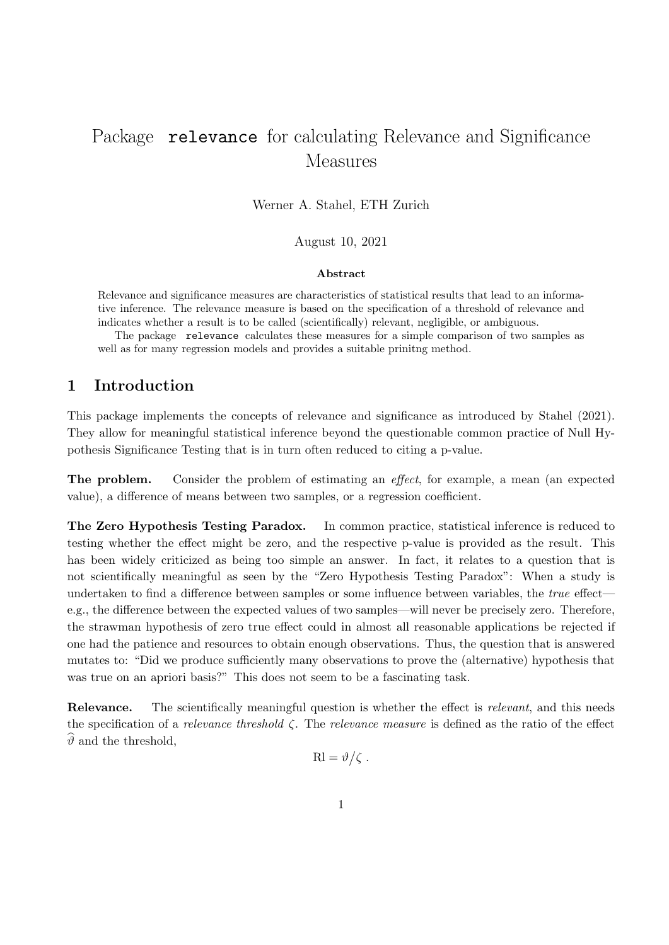# Package relevance for calculating Relevance and Significance Measures

Werner A. Stahel, ETH Zurich

August 10, 2021

#### Abstract

Relevance and significance measures are characteristics of statistical results that lead to an informative inference. The relevance measure is based on the specification of a threshold of relevance and indicates whether a result is to be called (scientifically) relevant, negligible, or ambiguous.

The package relevance calculates these measures for a simple comparison of two samples as well as for many regression models and provides a suitable prinitng method.

# 1 Introduction

This package implements the concepts of relevance and significance as introduced by Stahel (2021). They allow for meaningful statistical inference beyond the questionable common practice of Null Hypothesis Significance Testing that is in turn often reduced to citing a p-value.

The problem. Consider the problem of estimating an effect, for example, a mean (an expected value), a difference of means between two samples, or a regression coefficient.

The Zero Hypothesis Testing Paradox. In common practice, statistical inference is reduced to testing whether the effect might be zero, and the respective p-value is provided as the result. This has been widely criticized as being too simple an answer. In fact, it relates to a question that is not scientifically meaningful as seen by the "Zero Hypothesis Testing Paradox": When a study is undertaken to find a difference between samples or some influence between variables, the *true* effect e.g., the difference between the expected values of two samples—will never be precisely zero. Therefore, the strawman hypothesis of zero true effect could in almost all reasonable applications be rejected if one had the patience and resources to obtain enough observations. Thus, the question that is answered mutates to: "Did we produce sufficiently many observations to prove the (alternative) hypothesis that was true on an apriori basis?" This does not seem to be a fascinating task.

Relevance. The scientifically meaningful question is whether the effect is relevant, and this needs the specification of a *relevance threshold*  $\zeta$ . The *relevance measure* is defined as the ratio of the effect  $\hat{\theta}$  and the threshold,

$$
Rl = \vartheta/\zeta.
$$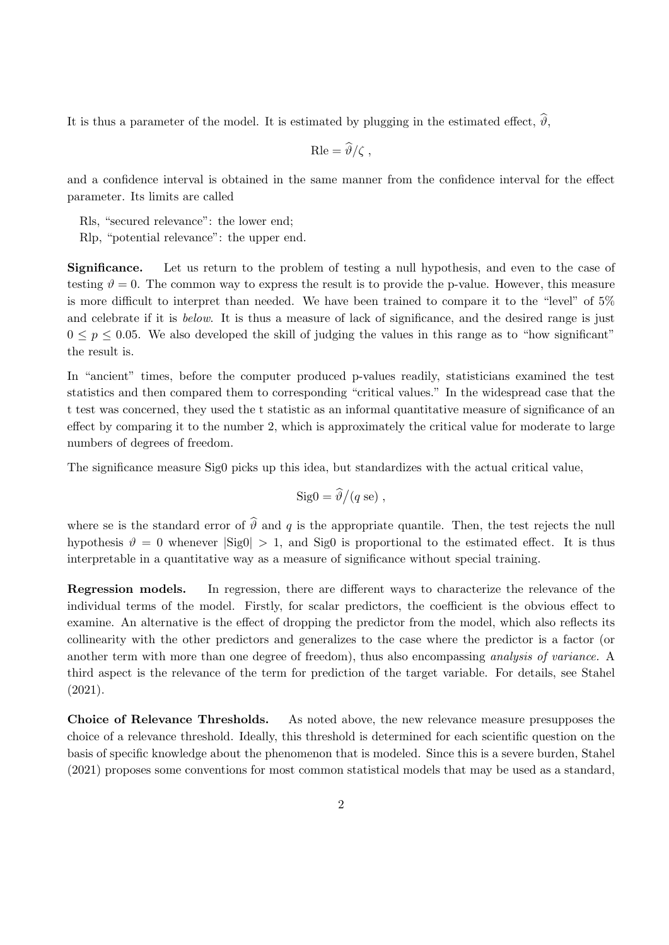It is thus a parameter of the model. It is estimated by plugging in the estimated effect,  $\hat{\theta}$ ,

$$
\text{Rle} = \widehat{\vartheta}/\zeta \ ,
$$

and a confidence interval is obtained in the same manner from the confidence interval for the effect parameter. Its limits are called

Rls, "secured relevance": the lower end;

Rlp, "potential relevance": the upper end.

Significance. Let us return to the problem of testing a null hypothesis, and even to the case of testing  $\vartheta = 0$ . The common way to express the result is to provide the p-value. However, this measure is more difficult to interpret than needed. We have been trained to compare it to the "level" of 5% and celebrate if it is *below*. It is thus a measure of lack of significance, and the desired range is just  $0 \leq p \leq 0.05$ . We also developed the skill of judging the values in this range as to "how significant" the result is.

In "ancient" times, before the computer produced p-values readily, statisticians examined the test statistics and then compared them to corresponding "critical values." In the widespread case that the t test was concerned, they used the t statistic as an informal quantitative measure of significance of an effect by comparing it to the number 2, which is approximately the critical value for moderate to large numbers of degrees of freedom.

The significance measure Sig0 picks up this idea, but standardizes with the actual critical value,

$$
Sig0 = \frac{\partial}{\partial q}(q \text{ se}),
$$

where se is the standard error of  $\hat{\theta}$  and q is the appropriate quantile. Then, the test rejects the null hypothesis  $\vartheta = 0$  whenever  $|\text{Sig}0| > 1$ , and  $\text{Sig}0$  is proportional to the estimated effect. It is thus interpretable in a quantitative way as a measure of significance without special training.

Regression models. In regression, there are different ways to characterize the relevance of the individual terms of the model. Firstly, for scalar predictors, the coefficient is the obvious effect to examine. An alternative is the effect of dropping the predictor from the model, which also reflects its collinearity with the other predictors and generalizes to the case where the predictor is a factor (or another term with more than one degree of freedom), thus also encompassing analysis of variance. A third aspect is the relevance of the term for prediction of the target variable. For details, see Stahel (2021).

Choice of Relevance Thresholds. As noted above, the new relevance measure presupposes the choice of a relevance threshold. Ideally, this threshold is determined for each scientific question on the basis of specific knowledge about the phenomenon that is modeled. Since this is a severe burden, Stahel (2021) proposes some conventions for most common statistical models that may be used as a standard,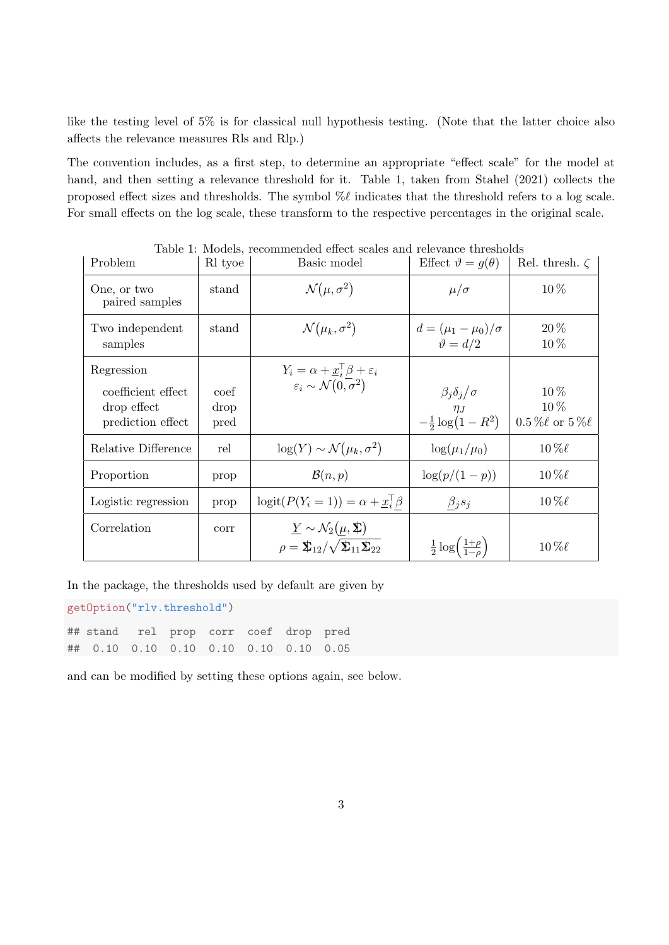like the testing level of 5% is for classical null hypothesis testing. (Note that the latter choice also affects the relevance measures Rls and Rlp.)

The convention includes, as a first step, to determine an appropriate "effect scale" for the model at hand, and then setting a relevance threshold for it. Table 1, taken from Stahel (2021) collects the proposed effect sizes and thresholds. The symbol  $\% \ell$  indicates that the threshold refers to a log scale. For small effects on the log scale, these transform to the respective percentages in the original scale.

| Problem                                                              | 10 11 1110 GOLD,<br>R <sub>l</sub> tyoe | Basic model                                                                                                                      | Effect $\vartheta = g(\theta)$                                           | Rel. thresh. $\zeta$                      |
|----------------------------------------------------------------------|-----------------------------------------|----------------------------------------------------------------------------------------------------------------------------------|--------------------------------------------------------------------------|-------------------------------------------|
| One, or two<br>paired samples                                        | stand                                   | $\mathcal{N}(\mu, \sigma^2)$                                                                                                     | $\mu/\sigma$                                                             | 10%                                       |
| Two independent<br>samples                                           | stand                                   | $\mathcal{N}(\mu_k, \sigma^2)$                                                                                                   | $d = (\mu_1 - \mu_0)/\sigma$<br>$\vartheta = d/2$                        | $20\,\%$<br>10%                           |
| Regression<br>coefficient effect<br>drop effect<br>prediction effect | coef<br>drop<br>pred                    | $Y_i = \alpha + \underline{x}_i^{\top} \beta + \varepsilon_i$<br>$\varepsilon_i \sim \mathcal{N}(0, \sigma^2)$                   | $\beta_j \delta_j / \sigma$<br>$\eta_J$<br>- $\frac{1}{2} \log(1 - R^2)$ | $10\%$<br>10%<br>$0.5\%\ell$ or $5\%\ell$ |
| Relative Difference                                                  | rel                                     | $\log(Y) \sim \mathcal{N}(\mu_k, \sigma^2)$                                                                                      | $\log(\mu_1/\mu_0)$                                                      | $10\,\%$ l                                |
| Proportion                                                           | prop                                    | $\mathcal{B}(n,p)$                                                                                                               | $\log(p/(1-p))$                                                          | $10\,\%$ l                                |
| Logistic regression                                                  | prop                                    | $\text{logit}(P(Y_i=1)) = \alpha + \underline{x}_i^{\top} \beta$                                                                 | $\beta_j s_j$                                                            | $10\,\%$ l                                |
| Correlation                                                          | corr                                    | $\underline{Y} \sim \mathcal{N}_2(\mu, \Sigma)$<br>$\rho = \mathbf{\Sigma}_{12}/\sqrt{\mathbf{\Sigma}_{11}\mathbf{\Sigma}_{22}}$ | $rac{1}{2} \log \left( \frac{1+\rho}{1-\rho} \right)$                    | $10\,\%$ l                                |

Table 1: Models, recommended effect scales and relevance thresholds

In the package, the thresholds used by default are given by

getOption("rlv.threshold")

## stand rel prop corr coef drop pred ## 0.10 0.10 0.10 0.10 0.10 0.10 0.05

and can be modified by setting these options again, see below.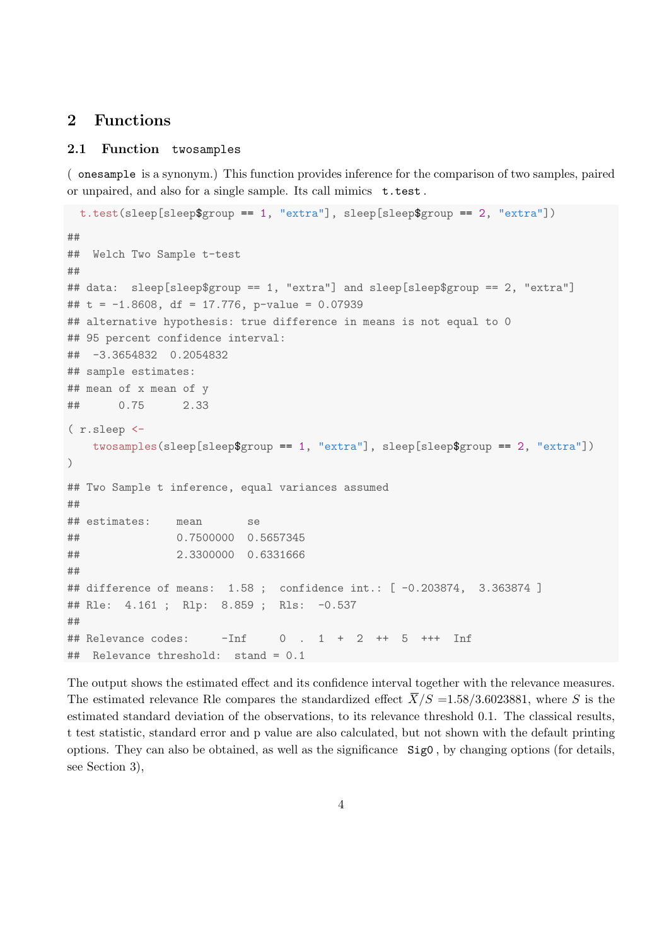# 2 Functions

#### 2.1 Function twosamples

( onesample is a synonym.) This function provides inference for the comparison of two samples, paired or unpaired, and also for a single sample. Its call mimics t.test .

```
t.test(sleep[sleep$group == 1, "extra"], sleep[sleep$group == 2, "extra"])
##
## Welch Two Sample t-test
##
## data: sleep[sleep$group == 1, "extra"] and sleep[sleep$group == 2, "extra"]
## t = -1.8608, df = 17.776, p-value = 0.07939
## alternative hypothesis: true difference in means is not equal to 0
## 95 percent confidence interval:
## -3.3654832 0.2054832
## sample estimates:
## mean of x mean of y
## 0.75 2.33
( r.sleep <-
   twosamples(sleep[sleep$group == 1, "extra"], sleep[sleep$group == 2, "extra"])
)
## Two Sample t inference, equal variances assumed
##
## estimates: mean se
## 0.7500000 0.5657345
## 2.3300000 0.6331666
##
## difference of means: 1.58 ; confidence int.: [ -0.203874, 3.363874 ]
## Rle: 4.161 ; Rlp: 8.859 ; Rls: -0.537
##
## Relevance codes: -Inf 0 . 1 + 2 ++ 5 +++ Inf
## Relevance threshold: stand = 0.1
```
The output shows the estimated effect and its confidence interval together with the relevance measures. The estimated relevance Rle compares the standardized effect  $\overline{X}/S = 1.58/3.6023881$ , where S is the estimated standard deviation of the observations, to its relevance threshold 0.1. The classical results, t test statistic, standard error and p value are also calculated, but not shown with the default printing options. They can also be obtained, as well as the significance Sig0 , by changing options (for details, see Section 3),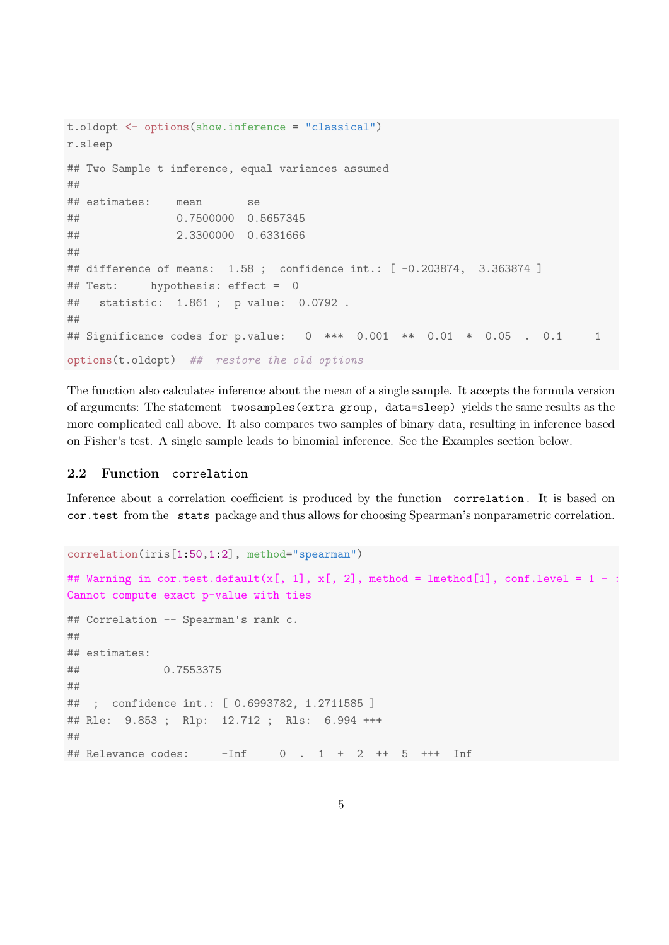```
t.oldopt <- options(show.inference = "classical")
r.sleep
## Two Sample t inference, equal variances assumed
##
## estimates: mean se
## 0.7500000 0.5657345
## 2.3300000 0.6331666
##
## difference of means: 1.58 ; confidence int.: [ -0.203874, 3.363874 ]
## Test: hypothesis: effect = 0
## statistic: 1.861 ; p value: 0.0792 .
##
## Significance codes for p.value: 0 *** 0.001 ** 0.01 * 0.05 . 0.1 1
options(t.oldopt) ## restore the old options
```
The function also calculates inference about the mean of a single sample. It accepts the formula version of arguments: The statement twosamples(extra group, data=sleep) yields the same results as the more complicated call above. It also compares two samples of binary data, resulting in inference based on Fisher's test. A single sample leads to binomial inference. See the Examples section below.

## 2.2 Function correlation

Inference about a correlation coefficient is produced by the function correlation . It is based on cor.test from the stats package and thus allows for choosing Spearman's nonparametric correlation.

```
correlation(iris[1:50,1:2], method="spearman")
## Warning in cor.test.default(x[, 1], x[, 2], method = lmethod[1], conf.level = 1 -
Cannot compute exact p-value with ties
## Correlation -- Spearman's rank c.
##
## estimates:
## 0.7553375
##
## ; confidence int.: [ 0.6993782, 1.2711585 ]
## Rle: 9.853 ; Rlp: 12.712 ; Rls: 6.994 +++
##
## Relevance codes: -Inf 0 . 1 + 2 ++ 5 +++ Inf
```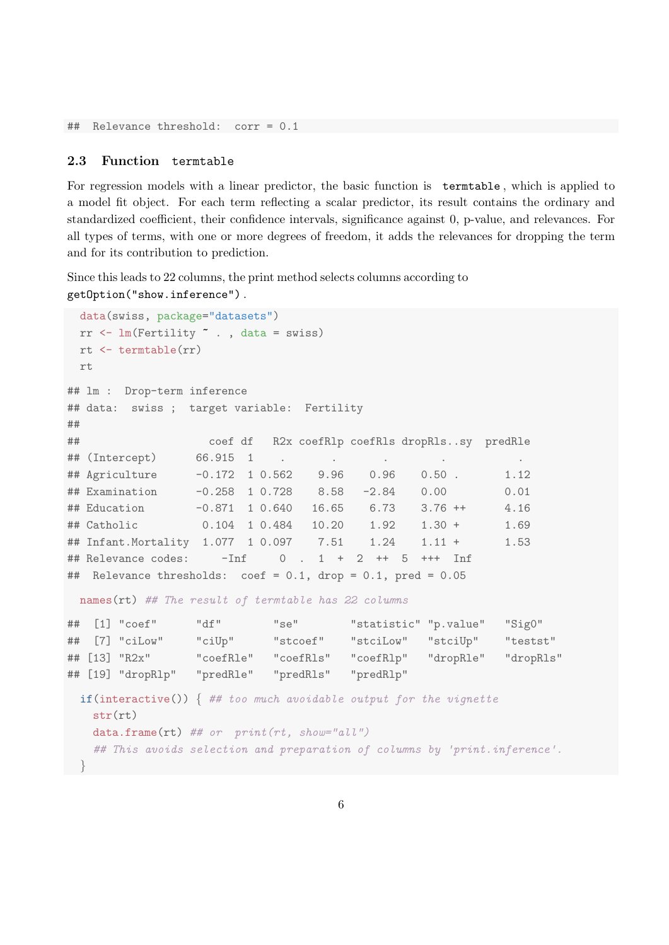## Relevance threshold: corr = 0.1

#### 2.3 Function termtable

For regression models with a linear predictor, the basic function is termtable , which is applied to a model fit object. For each term reflecting a scalar predictor, its result contains the ordinary and standardized coefficient, their confidence intervals, significance against 0, p-value, and relevances. For all types of terms, with one or more degrees of freedom, it adds the relevances for dropping the term and for its contribution to prediction.

Since this leads to 22 columns, the print method selects columns according to getOption("show.inference") .

```
data(swiss, package="datasets")
 rr \leftarrow \text{lm}(\text{Fertility} \sim . , \text{ data = swiss})rt <- termtable(rr)
 rt
## lm : Drop-term inference
## data: swiss ; target variable: Fertility
##
## coef df R2x coefRlp coefRls dropRls..sy predRle
## (Intercept) 66.915 1 . . . . .
## Agriculture -0.172 1 0.562 9.96 0.96 0.50 . 1.12
## Examination -0.258 1 0.728 8.58 -2.84 0.00 0.01
## Education -0.871 1 0.640 16.65 6.73 3.76 ++ 4.16
## Catholic 0.104 1 0.484 10.20 1.92 1.30 + 1.69
## Infant.Mortality 1.077 1 0.097 7.51 1.24 1.11 + 1.53
## Relevance codes: \overline{-}Inf 0, 1 + 2 ++ 5 +++ Inf
## Relevance thresholds: coef = 0.1, drop = 0.1, pred = 0.05
 names(rt) ## The result of termtable has 22 columns
## [1] "coef" "df" "se" "statistic" "p.value" "Sig0"
## [7] "ciLow" "ciUp" "stcoef" "stciLow" "stciUp" "testst"
## [13] "R2x" "coefRle" "coefRls" "coefRlp" "dropRle" "dropRls"
## [19] "dropRlp" "predRle" "predRls" "predRlp"
 if(interactive()) \{ # too \text{ much} \text{ avoid} \text{able} \text{ output} \text{ for the} \text{ viquette} \}str(rt)
   data-frame(rt) ## or print(rt, show="all")## This avoids selection and preparation of columns by 'print.inference'.
```

```
}
```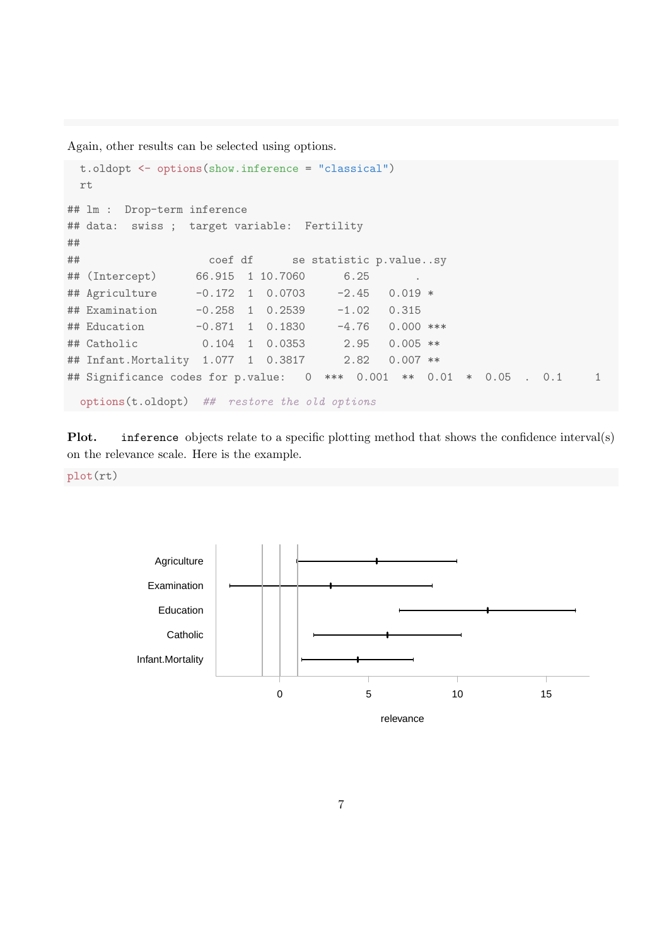Again, other results can be selected using options.

```
t.oldopt <- options(show.inference = "classical")
 rt
## lm : Drop-term inference
## data: swiss ; target variable: Fertility
##
## coef df se statistic p.value..sy
## (Intercept) 66.915 1 10.7060 6.25
## Agriculture -0.172 1 0.0703 -2.45 0.019 *
## Examination -0.258 1 0.2539 -1.02 0.315
## Education -0.871 1 0.1830 -4.76 0.000 ***
## Catholic 0.104 1 0.0353 2.95 0.005 **
## Infant.Mortality 1.077 1 0.3817 2.82 0.007 **
## Significance codes for p.value: 0 *** 0.001 ** 0.01 * 0.05 . 0.1 1
 options(t.oldopt) ## restore the old options
```
Plot. inference objects relate to a specific plotting method that shows the confidence interval(s) on the relevance scale. Here is the example.

plot(rt)

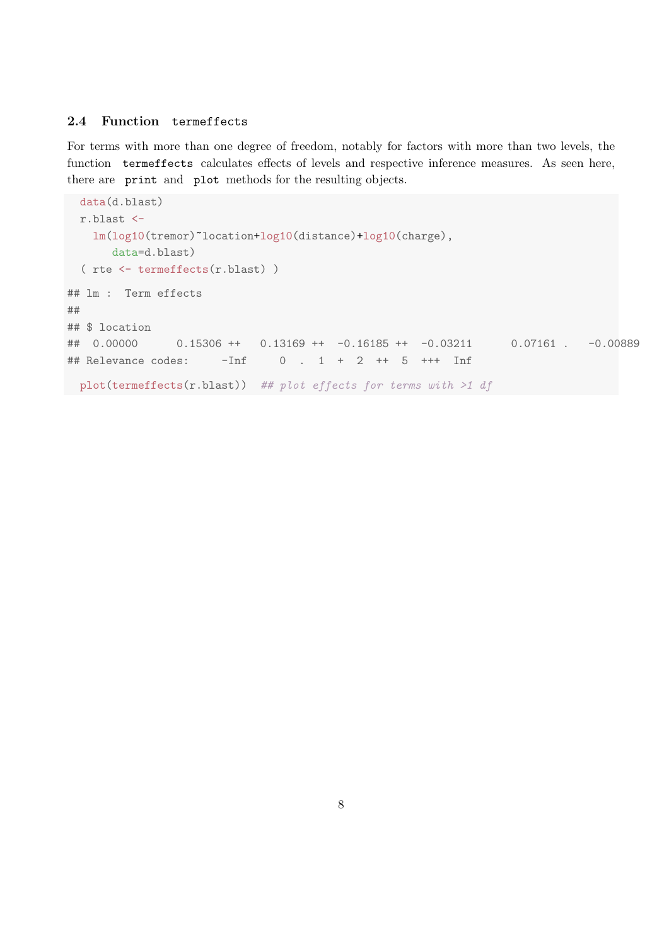## 2.4 Function termeffects

For terms with more than one degree of freedom, notably for factors with more than two levels, the function termeffects calculates effects of levels and respective inference measures. As seen here, there are print and plot methods for the resulting objects.

```
data(d.blast)
 r.blast <-
   lm(log10(tremor)~location+log10(distance)+log10(charge),
      data=d.blast)
 ( rte <- termeffects(r.blast) )
## lm : Term effects
##
## $ location
## 0.00000  0.15306 ++  0.13169 ++  -0.16185 ++  -0.03211  0.07161 .  -0.00889
## Relevance codes: -Inf 0 . 1 + 2 ++ 5 +++ Inf
plot(termeffects(r.blast)) ## plot effects for terms with >1 df
```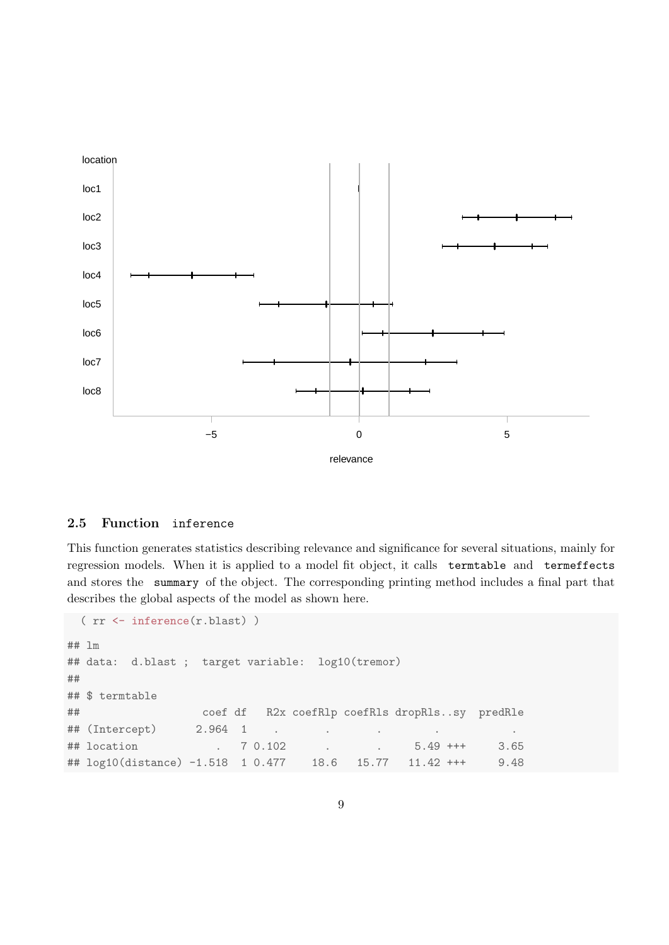

### 2.5 Function inference

This function generates statistics describing relevance and significance for several situations, mainly for regression models. When it is applied to a model fit object, it calls termtable and termeffects and stores the summary of the object. The corresponding printing method includes a final part that describes the global aspects of the model as shown here.

```
( rr <- inference(r.blast) )
## lm
## data: d.blast ; target variable: log10(tremor)
##
## $ termtable
## coef df R2x coefRlp coefRls dropRls..sy predRle
## (Intercept) 2.964 1 . . . . .
## location . 7 0.102 . . 5.49 +++ 3.65
## log10(distance) -1.518 1 0.477 18.6 15.77 11.42 +++ 9.48
```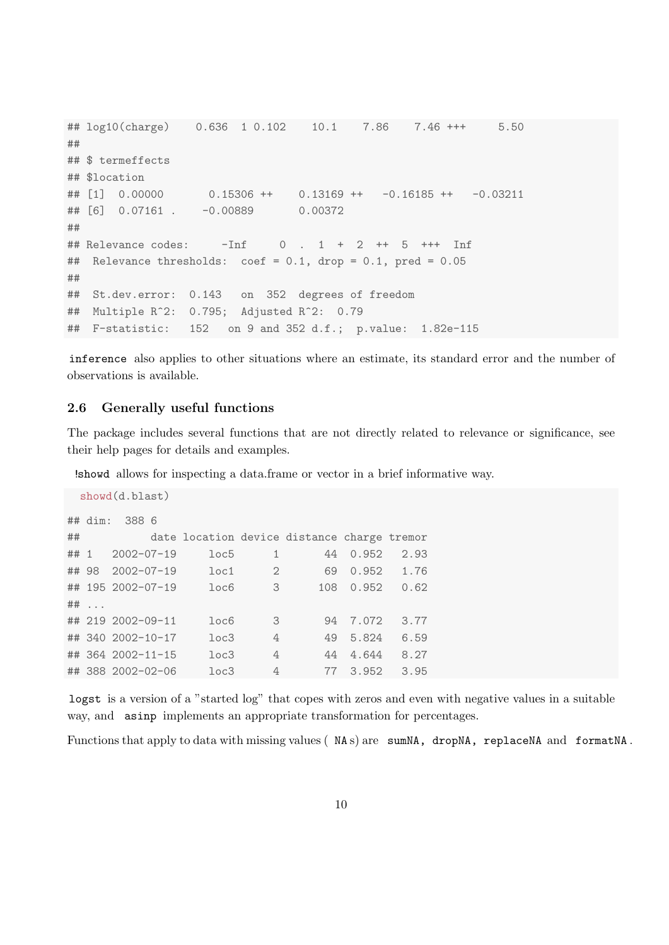```
## log10(charge) 0.636 1 0.102 10.1 7.86 7.46 +++ 5.50
##
## $ termeffects
## $location
## [1] 0.00000 0.15306 ++ 0.13169 ++ -0.16185 ++ -0.03211
## [6] 0.07161 . -0.00889 0.00372
##
## Relevance codes: -Inf 0 . 1 + 2 ++ 5 +++ Inf
## Relevance thresholds: coef = 0.1, drop = 0.1, pred = 0.05
##
## St.dev.error: 0.143 on 352 degrees of freedom
## Multiple R^2: 0.795; Adjusted R^2: 0.79
## F-statistic: 152 on 9 and 352 d.f.; p.value: 1.82e-115
```
inference also applies to other situations where an estimate, its standard error and the number of observations is available.

## 2.6 Generally useful functions

The package includes several functions that are not directly related to relevance or significance, see their help pages for details and examples.

!showd allows for inspecting a data.frame or vector in a brief informative way.

```
showd(d.blast)
## dim: 388 6
## date location device distance charge tremor
## 1 2002-07-19 loc5 1 44 0.952 2.93
## 98 2002-07-19 loc1 2 69 0.952 1.76
## 195 2002-07-19 loc6 3 108 0.952 0.62
## ...
## 219 2002-09-11 loc6 3 94 7.072 3.77
## 340 2002-10-17 loc3 4 49 5.824 6.59
## 364 2002-11-15 loc3 4 44 4.644 8.27
## 388 2002-02-06 loc3 4 77 3.952 3.95
```
logst is a version of a "started log" that copes with zeros and even with negative values in a suitable way, and asinp implements an appropriate transformation for percentages.

Functions that apply to data with missing values (NAs) are sumNA, dropNA, replaceNA and formatNA.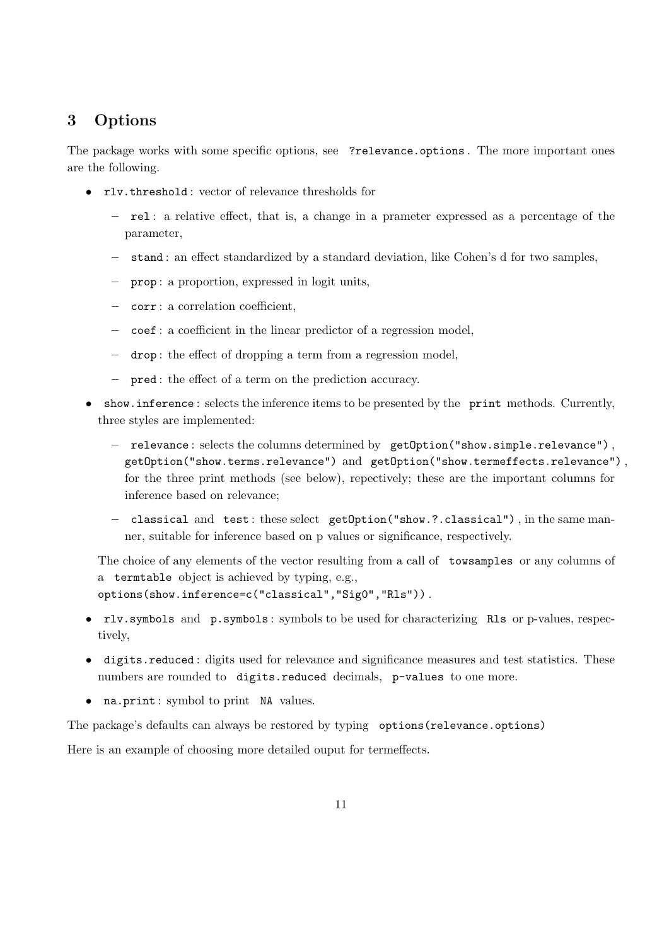# 3 Options

The package works with some specific options, see ?relevance.options. The more important ones are the following.

- rlv.threshold : vector of relevance thresholds for
	- rel : a relative effect, that is, a change in a prameter expressed as a percentage of the parameter,
	- stand : an effect standardized by a standard deviation, like Cohen's d for two samples,
	- prop : a proportion, expressed in logit units,
	- corr : a correlation coefficient,
	- coef : a coefficient in the linear predictor of a regression model,
	- drop : the effect of dropping a term from a regression model,
	- pred : the effect of a term on the prediction accuracy.
- show.inference: selects the inference items to be presented by the print methods. Currently, three styles are implemented:
	- relevance : selects the columns determined by getOption("show.simple.relevance") , getOption("show.terms.relevance") and getOption("show.termeffects.relevance") , for the three print methods (see below), repectively; these are the important columns for inference based on relevance;
	- classical and test : these select getOption("show.?.classical") , in the same manner, suitable for inference based on p values or significance, respectively.

The choice of any elements of the vector resulting from a call of towsamples or any columns of a termtable object is achieved by typing, e.g., options(show.inference=c("classical","Sig0","Rls")) .

- rlv.symbols and p.symbols : symbols to be used for characterizing Rls or p-values, respectively,
- digits.reduced : digits used for relevance and significance measures and test statistics. These numbers are rounded to digits.reduced decimals, p-values to one more.
- na.print: symbol to print NA values.

The package's defaults can always be restored by typing options(relevance.options)

Here is an example of choosing more detailed ouput for termeffects.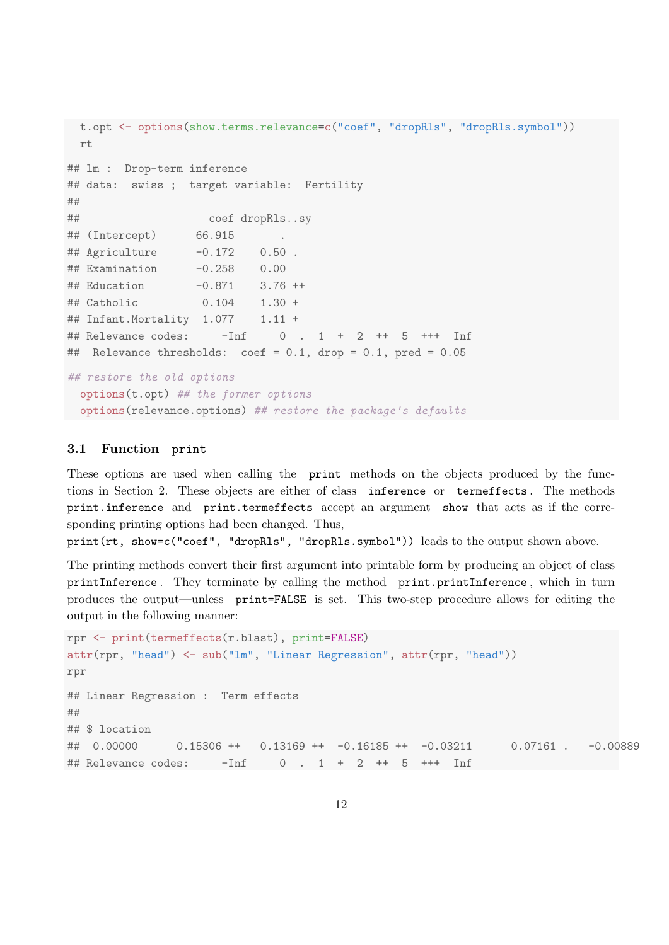```
t.opt <- options(show.terms.relevance=c("coef", "dropRls", "dropRls.symbol"))
 rt
## lm : Drop-term inference
## data: swiss ; target variable: Fertility
##
## coef dropRls..sy
## (Intercept) 66.915
## Agriculture -0.172 0.50 .
## Examination -0.258 0.00
## Education -0.871 3.76 ++
## Catholic 0.104 1.30 +
## Infant.Mortality 1.077   1.11 +
## Relevance codes: -Inf 0 . 1 + 2 ++ 5 +++ Inf
## Relevance thresholds: coef = 0.1, drop = 0.1, pred = 0.05
## restore the old options
 options(t.opt) ## the former options
 options(relevance.options) ## restore the package's defaults
```
## 3.1 Function print

These options are used when calling the print methods on the objects produced by the functions in Section 2. These objects are either of class inference or termeffects . The methods print.inference and print.termeffects accept an argument show that acts as if the corresponding printing options had been changed. Thus,

print(rt, show=c("coef", "dropRls", "dropRls.symbol")) leads to the output shown above.

The printing methods convert their first argument into printable form by producing an object of class printInference . They terminate by calling the method print.printInference , which in turn produces the output—unless print=FALSE is set. This two-step procedure allows for editing the output in the following manner:

```
rpr <- print(termeffects(r.blast), print=FALSE)
attr(rpr, "head") <- sub("lm", "Linear Regression", attr(rpr, "head"))
rpr
## Linear Regression : Term effects
##
## $ location
## 0.00000  0.15306 ++  0.13169 ++  -0.16185 ++  -0.03211  0.07161 .  -0.00889
## Relevance codes: -Inf 0 . 1 + 2 ++ 5 +++ Inf
```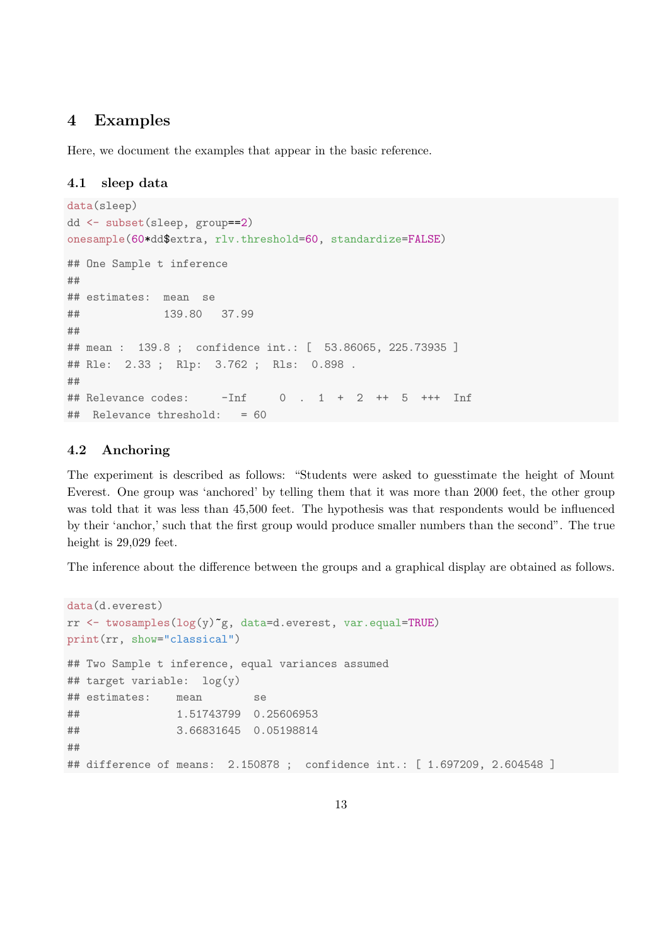## 4 Examples

Here, we document the examples that appear in the basic reference.

#### 4.1 sleep data

```
data(sleep)
dd <- subset(sleep, group==2)
onesample(60*dd$extra, rlv.threshold=60, standardize=FALSE)
## One Sample t inference
##
## estimates: mean se
## 139.80 37.99
##
## mean : 139.8 ; confidence int.: [ 53.86065, 225.73935 ]
## Rle: 2.33 ; Rlp: 3.762 ; Rls: 0.898
##
## Relevance codes: \overline{-1}nf 0 . 1 + 2 ++ 5 +++ Inf
## Relevance threshold: = 60
```
#### 4.2 Anchoring

The experiment is described as follows: "Students were asked to guesstimate the height of Mount Everest. One group was 'anchored' by telling them that it was more than 2000 feet, the other group was told that it was less than 45,500 feet. The hypothesis was that respondents would be influenced by their 'anchor,' such that the first group would produce smaller numbers than the second". The true height is 29,029 feet.

The inference about the difference between the groups and a graphical display are obtained as follows.

```
data(d.everest)
rr \leq twosamples(log(y)<sup>\epsilon</sup>g, data=d.everest, var.equal=TRUE)
print(rr, show="classical")
## Two Sample t inference, equal variances assumed
## target variable: log(y)
## estimates: mean se
## 1.51743799 0.25606953
## 3.66831645 0.05198814
##
## difference of means: 2.150878 ; confidence int.: [ 1.697209, 2.604548 ]
```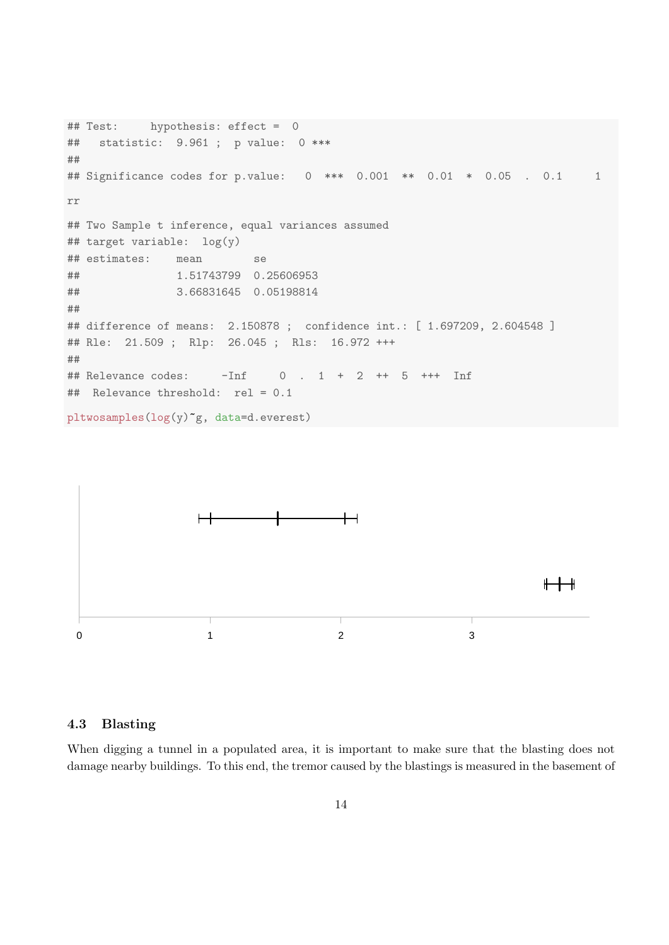```
## Test: hypothesis: effect = 0
## statistic: 9.961 ; p value: 0 ***
##
## Significance codes for p.value: 0 *** 0.001 ** 0.01 * 0.05 . 0.1 1
rr
## Two Sample t inference, equal variances assumed
## target variable: log(y)
## estimates: mean se
## 1.51743799 0.25606953
## 3.66831645 0.05198814
##
## difference of means: 2.150878 ; confidence int.: [ 1.697209, 2.604548 ]
## Rle: 21.509 ; Rlp: 26.045 ; Rls: 16.972 +++
##
## Relevance codes: -Inf 0 . 1 + 2 ++ 5 +++ Inf
## Relevance threshold: rel = 0.1
pltwosamples(log(y)~g, data=d.everest)
```


### 4.3 Blasting

When digging a tunnel in a populated area, it is important to make sure that the blasting does not damage nearby buildings. To this end, the tremor caused by the blastings is measured in the basement of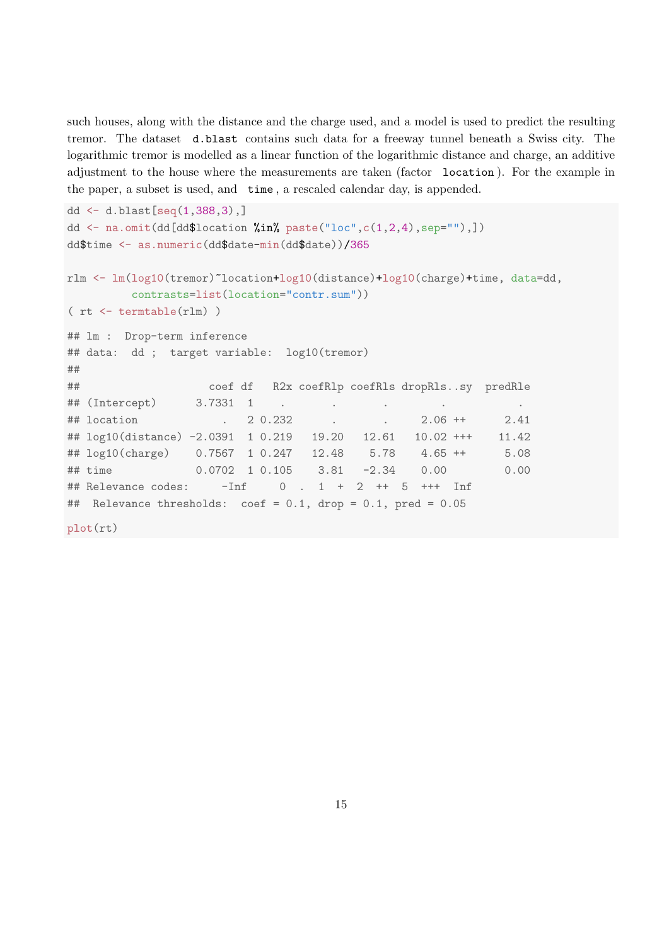such houses, along with the distance and the charge used, and a model is used to predict the resulting tremor. The dataset d.blast contains such data for a freeway tunnel beneath a Swiss city. The logarithmic tremor is modelled as a linear function of the logarithmic distance and charge, an additive adjustment to the house where the measurements are taken (factor location ). For the example in the paper, a subset is used, and time , a rescaled calendar day, is appended.

```
dd \leq d.blast [seq(1,388,3),]
dd \leq na.omit(dd[dd$location %in% paste("loc", c(1,2,4), sep=""),])
dd$time <- as.numeric(dd$date-min(dd$date))/365
rlm <- lm(log10(tremor)~location+log10(distance)+log10(charge)+time, data=dd,
        contrasts=list(location="contr.sum"))
( rt <- termtable(rlm) )
## lm : Drop-term inference
## data: dd ; target variable: log10(tremor)
##
## coef df R2x coefRlp coefRls dropRls..sy predRle
## (Intercept) 3.7331 1 . . . . .
## location . 2 0.232 . . 2.06 ++ 2.41
## log10(distance) -2.0391 1 0.219 19.20 12.61 10.02 +++ 11.42
## log10(charge) 0.7567 1 0.247 12.48 5.78 4.65 ++ 5.08
## time 0.0702 1 0.105 3.81 -2.34 0.00 0.00
## Relevance codes: -Inf 0 . 1 + 2 ++ 5 +++ Inf
## Relevance thresholds: coef = 0.1, drop = 0.1, pred = 0.05
plot(rt)
```